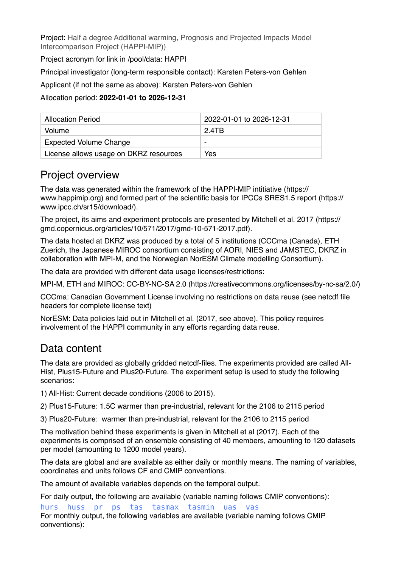Project: Half a degree Additional warming, Prognosis and Projected Impacts Model Intercomparison Project (HAPPI-MIP))

Project acronym for link in /pool/data: HAPPI

Principal investigator (long-term responsible contact): Karsten Peters-von Gehlen

Applicant (if not the same as above): Karsten Peters-von Gehlen

#### Allocation period: **2022-01-01 to 2026-12-31**

| <b>Allocation Period</b>               | 2022-01-01 to 2026-12-31 |
|----------------------------------------|--------------------------|
| Volume                                 | 2 4TB                    |
| <b>Expected Volume Change</b>          |                          |
| License allows usage on DKRZ resources | Yes                      |

### Project overview

The data was generated within the framework of the HAPPI-MIP intitiative (https:// www.happimip.org) and formed part of the scientific basis for IPCCs SRES1.5 report (https:// www.ipcc.ch/sr15/download/).

The project, its aims and experiment protocols are presented by Mitchell et al. 2017 (https:// gmd.copernicus.org/articles/10/571/2017/gmd-10-571-2017.pdf).

The data hosted at DKRZ was produced by a total of 5 institutions (CCCma (Canada), ETH Zuerich, the Japanese MIROC consortium consisting of AORI, NIES and JAMSTEC, DKRZ in collaboration with MPI-M, and the Norwegian NorESM Climate modelling Consortium).

The data are provided with different data usage licenses/restrictions:

MPI-M, ETH and MIROC: CC-BY-NC-SA 2.0 (https://creativecommons.org/licenses/by-nc-sa/2.0/)

CCCma: Canadian Government License involving no restrictions on data reuse (see netcdf file headers for complete license text)

NorESM: Data policies laid out in Mitchell et al. (2017, see above). This policy requires involvement of the HAPPI community in any efforts regarding data reuse.

## Data content

The data are provided as globally gridded netcdf-files. The experiments provided are called All-Hist, Plus15-Future and Plus20-Future. The experiment setup is used to study the following scenarios:

1) All-Hist: Current decade conditions (2006 to 2015).

2) Plus15-Future: 1.5C warmer than pre-industrial, relevant for the 2106 to 2115 period

3) Plus20-Future: warmer than pre-industrial, relevant for the 2106 to 2115 period

The motivation behind these experiments is given in Mitchell et al (2017). Each of the experiments is comprised of an ensemble consisting of 40 members, amounting to 120 datasets per model (amounting to 1200 model years).

The data are global and are available as either daily or monthly means. The naming of variables, coordinates and units follows CF and CMIP conventions.

The amount of available variables depends on the temporal output.

For daily output, the following are available (variable naming follows CMIP conventions):

hurs huss pr ps tas tasmax tasmin uas vas For monthly output, the following variables are available (variable naming follows CMIP conventions):